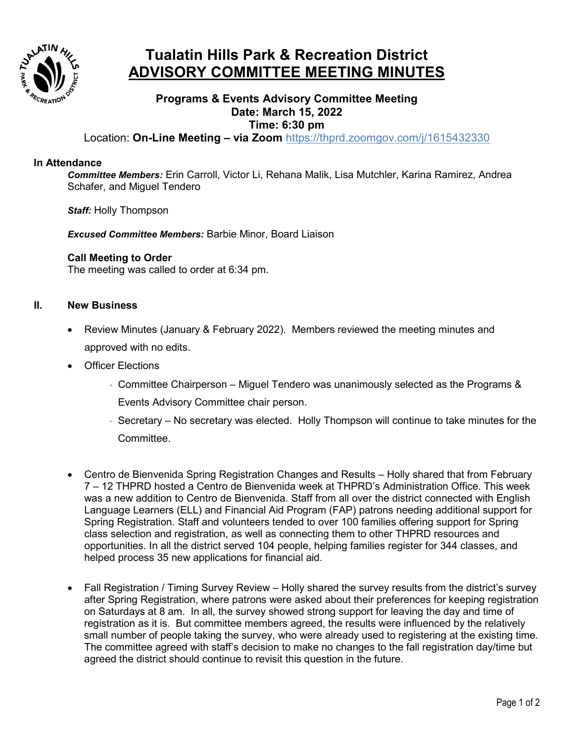

# **Tualatin Hills Park & Recreation District ADVISORY COMMITTEE MEETING MINUTES**

## **Programs & Events Advisory Committee Meeting Date: March 15, 2022 Time: 6:30 pm**

Location: **On-Line Meeting – via Zoom** <https://thprd.zoomgov.com/j/1615432330>

### **In Attendance**

*Committee Members:* Erin Carroll, Victor Li, Rehana Malik, Lisa Mutchler, Karina Ramirez, Andrea Schafer, and Miguel Tendero

*Staff:* Holly Thompson

*Excused Committee Members:* Barbie Minor, Board Liaison

#### **Call Meeting to Order**

The meeting was called to order at 6:34 pm.

#### **II. New Business**

- Review Minutes (January & February 2022). Members reviewed the meeting minutes and approved with no edits.
- Officer Elections
	- ⋅ Committee Chairperson Miguel Tendero was unanimously selected as the Programs & Events Advisory Committee chair person.
	- ⋅ Secretary No secretary was elected. Holly Thompson will continue to take minutes for the Committee.
- Centro de Bienvenida Spring Registration Changes and Results Holly shared that from February 7 – 12 THPRD hosted a Centro de Bienvenida week at THPRD's Administration Office. This week was a new addition to Centro de Bienvenida. Staff from all over the district connected with English Language Learners (ELL) and Financial Aid Program (FAP) patrons needing additional support for Spring Registration. Staff and volunteers tended to over 100 families offering support for Spring class selection and registration, as well as connecting them to other THPRD resources and opportunities. In all the district served 104 people, helping families register for 344 classes, and helped process 35 new applications for financial aid.
- Fall Registration / Timing Survey Review Holly shared the survey results from the district's survey after Spring Registration, where patrons were asked about their preferences for keeping registration on Saturdays at 8 am. In all, the survey showed strong support for leaving the day and time of registration as it is. But committee members agreed, the results were influenced by the relatively small number of people taking the survey, who were already used to registering at the existing time. The committee agreed with staff's decision to make no changes to the fall registration day/time but agreed the district should continue to revisit this question in the future.